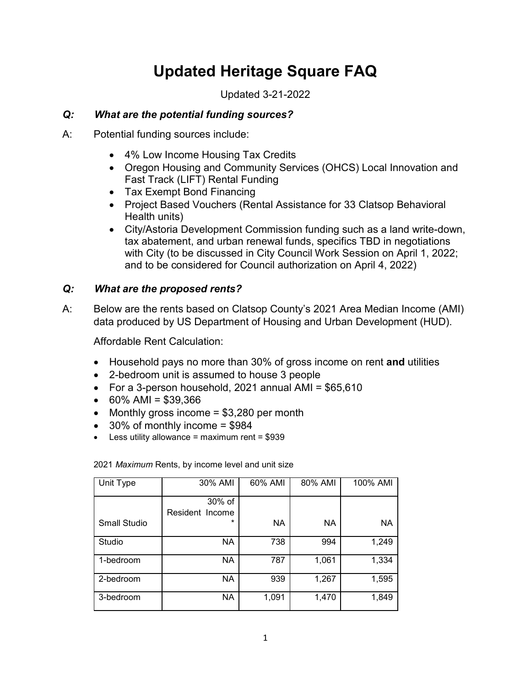# **Updated Heritage Square FAQ**

Updated 3-21-2022

# *Q: What are the potential funding sources?*

- A: Potential funding sources include:
	- 4% Low Income Housing Tax Credits
	- Oregon Housing and Community Services (OHCS) Local Innovation and Fast Track (LIFT) Rental Funding
	- Tax Exempt Bond Financing
	- Project Based Vouchers (Rental Assistance for 33 Clatsop Behavioral Health units)
	- City/Astoria Development Commission funding such as a land write-down, tax abatement, and urban renewal funds, specifics TBD in negotiations with City (to be discussed in City Council Work Session on April 1, 2022; and to be considered for Council authorization on April 4, 2022)

# *Q: What are the proposed rents?*

A: Below are the rents based on Clatsop County's 2021 Area Median Income (AMI) data produced by US Department of Housing and Urban Development (HUD).

Affordable Rent Calculation:

- Household pays no more than 30% of gross income on rent **and** utilities
- 2-bedroom unit is assumed to house 3 people
- For a 3-person household, 2021 annual AMI = \$65,610
- $\bullet$  60% AMI = \$39,366
- Monthly gross income  $= $3,280$  per month
- $\bullet$  30% of monthly income = \$984
- $\bullet$  Less utility allowance = maximum rent = \$939

| Unit Type           | 30% AMI                   | 60% AMI | 80% AMI | 100% AMI  |
|---------------------|---------------------------|---------|---------|-----------|
|                     | 30% of<br>Resident Income |         |         |           |
| <b>Small Studio</b> | *                         | NA      | NA      | <b>NA</b> |
| Studio              | ΝA                        | 738     | 994     | 1,249     |
| 1-bedroom           | <b>NA</b>                 | 787     | 1,061   | 1,334     |
| 2-bedroom           | <b>NA</b>                 | 939     | 1,267   | 1,595     |
| 3-bedroom           | <b>NA</b>                 | 1,091   | 1,470   | 1,849     |

2021 *Maximum* Rents, by income level and unit size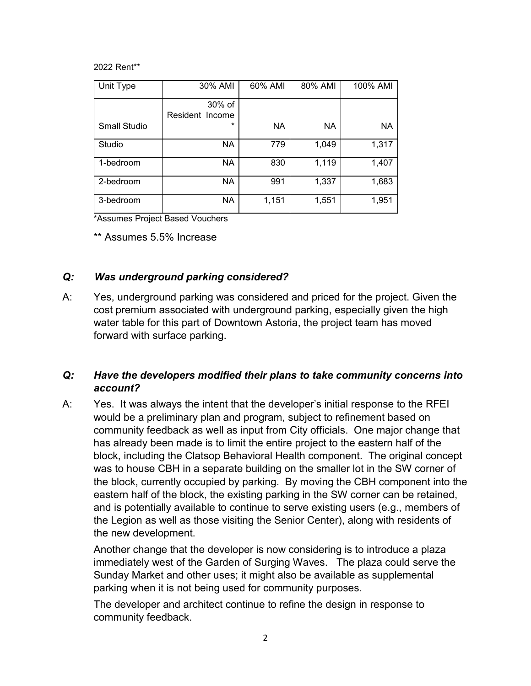2022 Rent\*\*

| Unit Type    | 30% AMI                   | 60% AMI   | 80% AMI   | 100% AMI  |
|--------------|---------------------------|-----------|-----------|-----------|
|              | 30% of<br>Resident Income |           |           |           |
| Small Studio | *                         | <b>NA</b> | <b>NA</b> | <b>NA</b> |
| Studio       | <b>NA</b>                 | 779       | 1,049     | 1,317     |
| 1-bedroom    | <b>NA</b>                 | 830       | 1,119     | 1,407     |
| 2-bedroom    | <b>NA</b>                 | 991       | 1,337     | 1,683     |
| 3-bedroom    | <b>NA</b>                 | 1,151     | 1,551     | 1,951     |

\*Assumes Project Based Vouchers

\*\* Assumes 5.5% Increase

#### *Q: Was underground parking considered?*

A: Yes, underground parking was considered and priced for the project. Given the cost premium associated with underground parking, especially given the high water table for this part of Downtown Astoria, the project team has moved forward with surface parking.

### *Q: Have the developers modified their plans to take community concerns into account?*

A: Yes. It was always the intent that the developer's initial response to the RFEI would be a preliminary plan and program, subject to refinement based on community feedback as well as input from City officials. One major change that has already been made is to limit the entire project to the eastern half of the block, including the Clatsop Behavioral Health component. The original concept was to house CBH in a separate building on the smaller lot in the SW corner of the block, currently occupied by parking. By moving the CBH component into the eastern half of the block, the existing parking in the SW corner can be retained, and is potentially available to continue to serve existing users (e.g., members of the Legion as well as those visiting the Senior Center), along with residents of the new development.

Another change that the developer is now considering is to introduce a plaza immediately west of the Garden of Surging Waves. The plaza could serve the Sunday Market and other uses; it might also be available as supplemental parking when it is not being used for community purposes.

The developer and architect continue to refine the design in response to community feedback.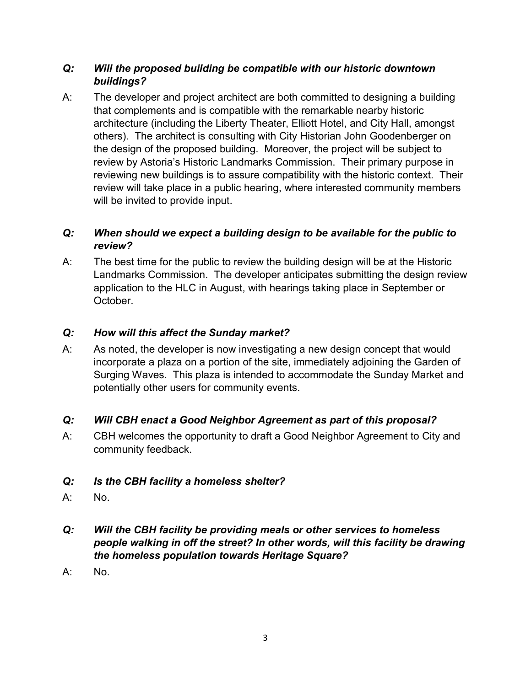### *Q: Will the proposed building be compatible with our historic downtown buildings?*

A: The developer and project architect are both committed to designing a building that complements and is compatible with the remarkable nearby historic architecture (including the Liberty Theater, Elliott Hotel, and City Hall, amongst others). The architect is consulting with City Historian John Goodenberger on the design of the proposed building. Moreover, the project will be subject to review by Astoria's Historic Landmarks Commission. Their primary purpose in reviewing new buildings is to assure compatibility with the historic context. Their review will take place in a public hearing, where interested community members will be invited to provide input.

# *Q: When should we expect a building design to be available for the public to review?*

A: The best time for the public to review the building design will be at the Historic Landmarks Commission. The developer anticipates submitting the design review application to the HLC in August, with hearings taking place in September or October.

# *Q: How will this affect the Sunday market?*

A: As noted, the developer is now investigating a new design concept that would incorporate a plaza on a portion of the site, immediately adjoining the Garden of Surging Waves. This plaza is intended to accommodate the Sunday Market and potentially other users for community events.

# *Q: Will CBH enact a Good Neighbor Agreement as part of this proposal?*

A: CBH welcomes the opportunity to draft a Good Neighbor Agreement to City and community feedback.

# *Q: Is the CBH facility a homeless shelter?*

- A: No.
- *Q: Will the CBH facility be providing meals or other services to homeless people walking in off the street? In other words, will this facility be drawing the homeless population towards Heritage Square?*
- A: No.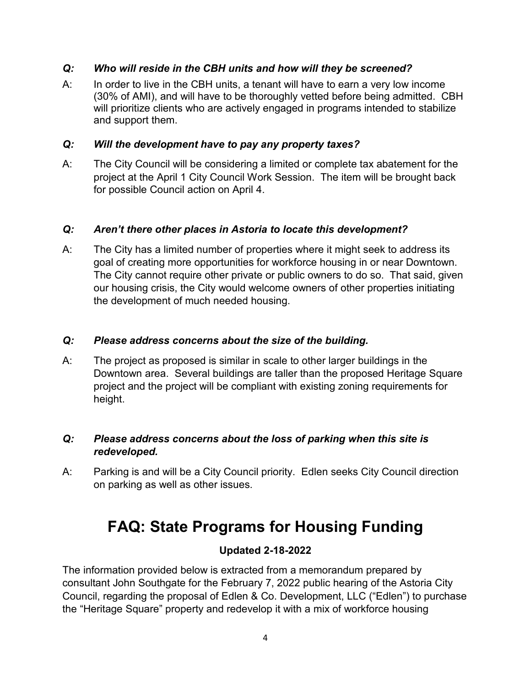#### *Q: Who will reside in the CBH units and how will they be screened?*

A: In order to live in the CBH units, a tenant will have to earn a very low income (30% of AMI), and will have to be thoroughly vetted before being admitted. CBH will prioritize clients who are actively engaged in programs intended to stabilize and support them.

#### *Q: Will the development have to pay any property taxes?*

A: The City Council will be considering a limited or complete tax abatement for the project at the April 1 City Council Work Session. The item will be brought back for possible Council action on April 4.

#### *Q: Aren't there other places in Astoria to locate this development?*

A: The City has a limited number of properties where it might seek to address its goal of creating more opportunities for workforce housing in or near Downtown. The City cannot require other private or public owners to do so. That said, given our housing crisis, the City would welcome owners of other properties initiating the development of much needed housing.

#### *Q: Please address concerns about the size of the building.*

A: The project as proposed is similar in scale to other larger buildings in the Downtown area. Several buildings are taller than the proposed Heritage Square project and the project will be compliant with existing zoning requirements for height.

### *Q: Please address concerns about the loss of parking when this site is redeveloped.*

A: Parking is and will be a City Council priority. Edlen seeks City Council direction on parking as well as other issues.

# **FAQ: State Programs for Housing Funding**

### **Updated 2-18-2022**

The information provided below is extracted from a memorandum prepared by consultant John Southgate for the February 7, 2022 public hearing of the Astoria City Council, regarding the proposal of Edlen & Co. Development, LLC ("Edlen") to purchase the "Heritage Square" property and redevelop it with a mix of workforce housing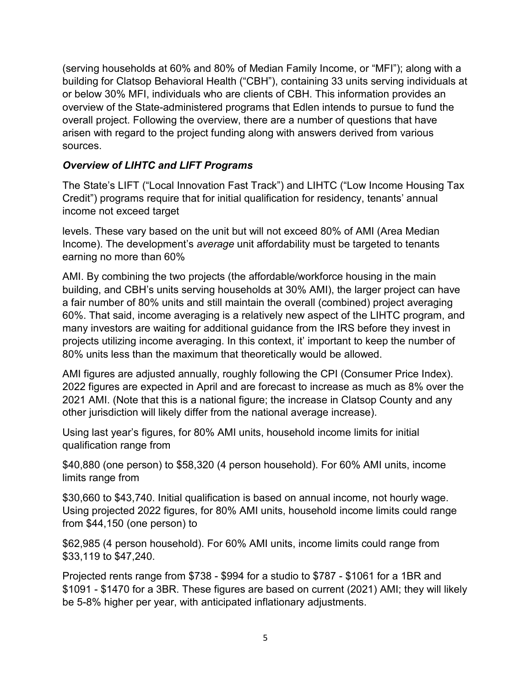(serving households at 60% and 80% of Median Family Income, or "MFI"); along with a building for Clatsop Behavioral Health ("CBH"), containing 33 units serving individuals at or below 30% MFI, individuals who are clients of CBH. This information provides an overview of the State-administered programs that Edlen intends to pursue to fund the overall project. Following the overview, there are a number of questions that have arisen with regard to the project funding along with answers derived from various sources.

# *Overview of LIHTC and LIFT Programs*

The State's LIFT ("Local Innovation Fast Track") and LIHTC ("Low Income Housing Tax Credit") programs require that for initial qualification for residency, tenants' annual income not exceed target

levels. These vary based on the unit but will not exceed 80% of AMI (Area Median Income). The development's *average* unit affordability must be targeted to tenants earning no more than 60%

AMI. By combining the two projects (the affordable/workforce housing in the main building, and CBH's units serving households at 30% AMI), the larger project can have a fair number of 80% units and still maintain the overall (combined) project averaging 60%. That said, income averaging is a relatively new aspect of the LIHTC program, and many investors are waiting for additional guidance from the IRS before they invest in projects utilizing income averaging. In this context, it' important to keep the number of 80% units less than the maximum that theoretically would be allowed.

AMI figures are adjusted annually, roughly following the CPI (Consumer Price Index). 2022 figures are expected in April and are forecast to increase as much as 8% over the 2021 AMI. (Note that this is a national figure; the increase in Clatsop County and any other jurisdiction will likely differ from the national average increase).

Using last year's figures, for 80% AMI units, household income limits for initial qualification range from

\$40,880 (one person) to \$58,320 (4 person household). For 60% AMI units, income limits range from

\$30,660 to \$43,740. Initial qualification is based on annual income, not hourly wage. Using projected 2022 figures, for 80% AMI units, household income limits could range from \$44,150 (one person) to

\$62,985 (4 person household). For 60% AMI units, income limits could range from \$33,119 to \$47,240.

Projected rents range from \$738 - \$994 for a studio to \$787 - \$1061 for a 1BR and \$1091 - \$1470 for a 3BR. These figures are based on current (2021) AMI; they will likely be 5-8% higher per year, with anticipated inflationary adjustments.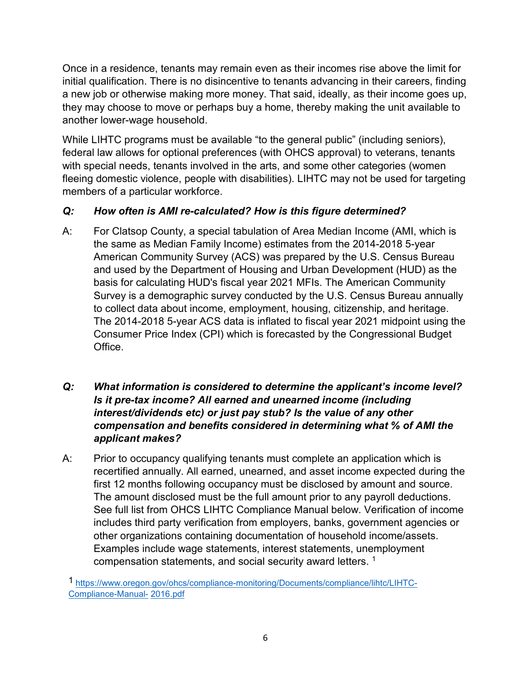Once in a residence, tenants may remain even as their incomes rise above the limit for initial qualification. There is no disincentive to tenants advancing in their careers, finding a new job or otherwise making more money. That said, ideally, as their income goes up, they may choose to move or perhaps buy a home, thereby making the unit available to another lower-wage household.

While LIHTC programs must be available "to the general public" (including seniors), federal law allows for optional preferences (with OHCS approval) to veterans, tenants with special needs, tenants involved in the arts, and some other categories (women fleeing domestic violence, people with disabilities). LIHTC may not be used for targeting members of a particular workforce.

# *Q: How often is AMI re-calculated? How is this figure determined?*

- A: For Clatsop County, a special tabulation of Area Median Income (AMI, which is the same as Median Family Income) estimates from the 2014-2018 5-year American Community Survey (ACS) was prepared by the U.S. Census Bureau and used by the Department of Housing and Urban Development (HUD) as the basis for calculating HUD's fiscal year 2021 MFIs. The American Community Survey is a demographic survey conducted by the U.S. Census Bureau annually to collect data about income, employment, housing, citizenship, and heritage. The 2014-2018 5-year ACS data is inflated to fiscal year 2021 midpoint using the Consumer Price Index (CPI) which is forecasted by the Congressional Budget Office.
- *Q: What information is considered to determine the applicant's income level? Is it pre-tax income? All earned and unearned income (including interest/dividends etc) or just pay stub? Is the value of any other compensation and benefits considered in determining what % of AMI the applicant makes?*
- A: Prior to occupancy qualifying tenants must complete an application which is recertified annually. All earned, unearned, and asset income expected during the first 12 months following occupancy must be disclosed by amount and source. The amount disclosed must be the full amount prior to any payroll deductions. See full list from OHCS LIHTC Compliance Manual below. Verification of income includes third party verification from employers, banks, government agencies or other organizations containing documentation of household income/assets. Examples include wage statements, interest statements, unemployment compensation statements, and social security award letters. [1](#page-6-0)

<sup>1</sup> [https://www.oregon.gov/ohcs/compliance-monitoring/Documents/compliance/lihtc/LIHTC-](https://www.oregon.gov/ohcs/compliance-monitoring/Documents/compliance/lihtc/LIHTC-Compliance-Manual-2016.pdf)[Compliance-Manual-](https://www.oregon.gov/ohcs/compliance-monitoring/Documents/compliance/lihtc/LIHTC-Compliance-Manual-2016.pdf) [2016.pdf](https://www.oregon.gov/ohcs/compliance-monitoring/Documents/compliance/lihtc/LIHTC-Compliance-Manual-2016.pdf)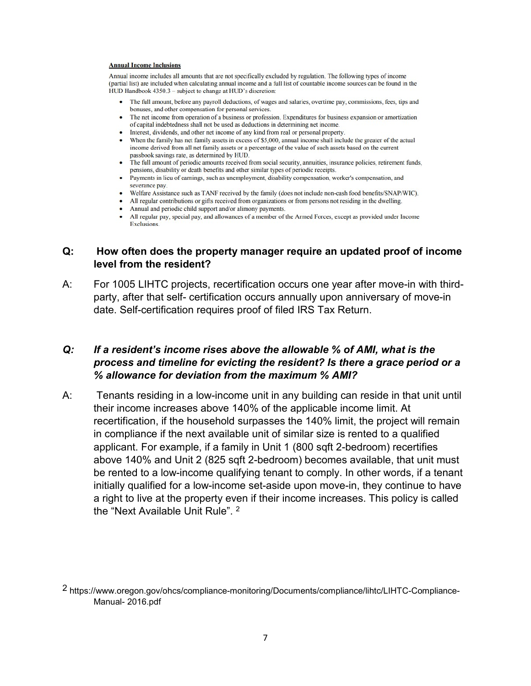#### <span id="page-6-0"></span>**Annual Income Inclusions**

Annual income includes all amounts that are not specifically excluded by regulation. The following types of income (partial list) are included when calculating annual income and a full list of countable income sources can be found in the HUD Handbook 4350.3 - subject to change at HUD's discretion:

- The full amount, before any payroll deductions, of wages and salaries, overtime pay, commissions, fees, tips and bonuses, and other compensation for personal services.
- The net income from operation of a business or profession. Expenditures for business expansion or amortization of capital indebtedness shall not be used as deductions in determining net income.
- Interest, dividends, and other net income of any kind from real or personal property.
- When the family has net family assets in excess of \$5,000, annual income shall include the greater of the actual income derived from all net family assets or a percentage of the value of such assets based on the current passbook savings rate, as determined by HUD.
- The full amount of periodic amounts received from social security, annuities, insurance policies, retirement funds, pensions, disability or death benefits and other similar types of periodic receipts.
- · Payments in lieu of earnings, such as unemployment, disability compensation, worker's compensation, and severance pay.
- Welfare Assistance such as TANF received by the family (does not include non-cash food benefits/SNAP/WIC).
- All regular contributions or gifts received from organizations or from persons not residing in the dwelling.
- Annual and periodic child support and/or alimony payments.
- All regular pay, special pay, and allowances of a member of the Armed Forces, except as provided under Income Exclusions.

#### **Q: How often does the property manager require an updated proof of income level from the resident?**

A: For 1005 LIHTC projects, recertification occurs one year after move-in with thirdparty, after that self- certification occurs annually upon anniversary of move-in date. Self-certification requires proof of filed IRS Tax Return.

#### *Q: If a resident's income rises above the allowable % of AMI, what is the process and timeline for evicting the resident? Is there a grace period or a % allowance for deviation from the maximum % AMI?*

A: Tenants residing in a low-income unit in any building can reside in that unit until their income increases above 140% of the applicable income limit. At recertification, if the household surpasses the 140% limit, the project will remain in compliance if the next available unit of similar size is rented to a qualified applicant. For example, if a family in Unit 1 (800 sqft 2-bedroom) recertifies above 140% and Unit 2 (825 sqft 2-bedroom) becomes available, that unit must be rented to a low-income qualifying tenant to comply. In other words, if a tenant initially qualified for a low-income set-aside upon move-in, they continue to have a right to live at the property even if their income increases. This policy is called the "Next Available Unit Rule". 2

<sup>2</sup> https:/[/www.oregon.gov/ohcs/compliance-monitoring/Documents/compliance/lihtc/LIHTC-Compliance-](http://www.oregon.gov/ohcs/compliance-monitoring/Documents/compliance/lihtc/LIHTC-Compliance-Manual-)[Manual-](http://www.oregon.gov/ohcs/compliance-monitoring/Documents/compliance/lihtc/LIHTC-Compliance-Manual-) 2016.pdf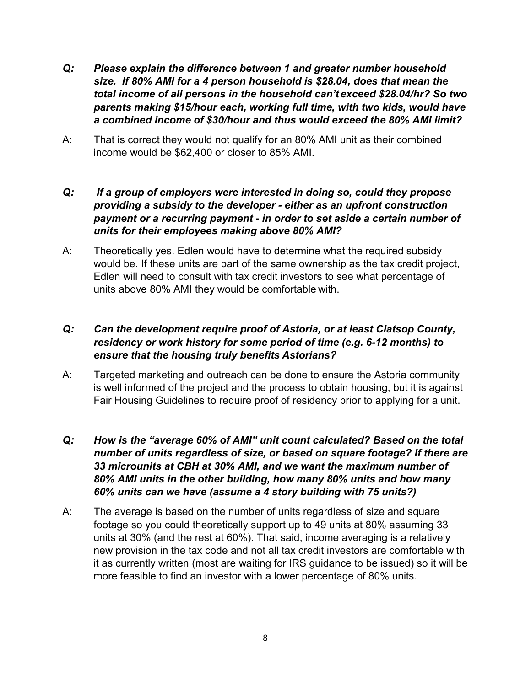- *Q: Please explain the difference between 1 and greater number household size. If 80% AMI for a 4 person household is \$28.04, does that mean the total income of all persons in the household can't exceed \$28.04/hr? So two parents making \$15/hour each, working full time, with two kids, would have a combined income of \$30/hour and thus would exceed the 80% AMI limit?*
- A: That is correct they would not qualify for an 80% AMI unit as their combined income would be \$62,400 or closer to 85% AMI.

#### *Q: If a group of employers were interested in doing so, could they propose providing a subsidy to the developer - either as an upfront construction payment or a recurring payment - in order to set aside a certain number of units for their employees making above 80% AMI?*

A: Theoretically yes. Edlen would have to determine what the required subsidy would be. If these units are part of the same ownership as the tax credit project, Edlen will need to consult with tax credit investors to see what percentage of units above 80% AMI they would be comfortable with.

### *Q: Can the development require proof of Astoria, or at least Clatsop County, residency or work history for some period of time (e.g. 6-12 months) to ensure that the housing truly benefits Astorians?*

- A: Targeted marketing and outreach can be done to ensure the Astoria community is well informed of the project and the process to obtain housing, but it is against Fair Housing Guidelines to require proof of residency prior to applying for a unit.
- *Q: How is the "average 60% of AMI" unit count calculated? Based on the total number of units regardless of size, or based on square footage? If there are 33 microunits at CBH at 30% AMI, and we want the maximum number of 80% AMI units in the other building, how many 80% units and how many 60% units can we have (assume a 4 story building with 75 units?)*
- A: The average is based on the number of units regardless of size and square footage so you could theoretically support up to 49 units at 80% assuming 33 units at 30% (and the rest at 60%). That said, income averaging is a relatively new provision in the tax code and not all tax credit investors are comfortable with it as currently written (most are waiting for IRS guidance to be issued) so it will be more feasible to find an investor with a lower percentage of 80% units.